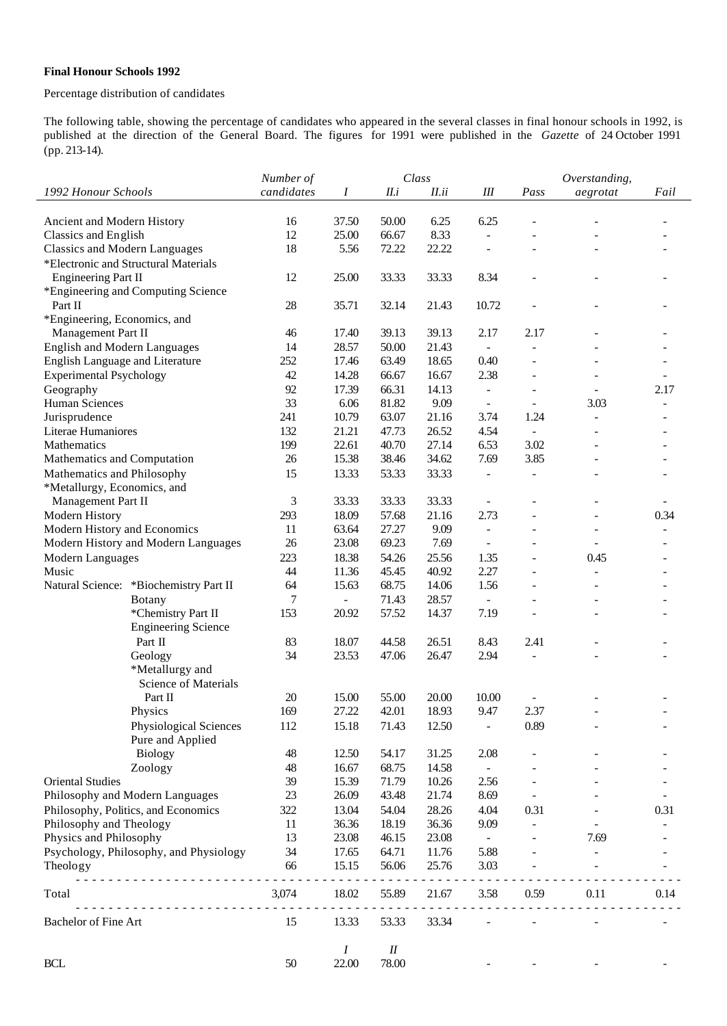## **Final Honour Schools 1992**

## Percentage distribution of candidates

The following table, showing the percentage of candidates who appeared in the several classes in final honour schools in 1992, is published at the direction of the General Board. The figures for 1991 were published in the *Gazette* of 24 October 1991 (pp. 213-14).

|                                            | Number of      |                | Class          |       |                             | Overstanding,            |                          |      |  |
|--------------------------------------------|----------------|----------------|----------------|-------|-----------------------------|--------------------------|--------------------------|------|--|
| 1992 Honour Schools                        | candidates     | Ι              | II.i           | II.ii | $I\!I\!I$                   | Pass                     | aegrotat                 | Fail |  |
|                                            |                |                |                |       |                             |                          |                          |      |  |
| Ancient and Modern History                 | 16             | 37.50          | 50.00          | 6.25  | 6.25                        |                          |                          |      |  |
| Classics and English                       | 12             | 25.00          | 66.67          | 8.33  | $\overline{\phantom{a}}$    |                          |                          |      |  |
| <b>Classics and Modern Languages</b>       | 18             | 5.56           | 72.22          | 22.22 |                             |                          |                          |      |  |
| *Electronic and Structural Materials       |                |                |                |       |                             |                          |                          |      |  |
| <b>Engineering Part II</b>                 | 12             | 25.00          | 33.33          | 33.33 | 8.34                        |                          |                          |      |  |
| *Engineering and Computing Science         |                |                |                |       |                             |                          |                          |      |  |
| Part II                                    | 28             | 35.71          | 32.14          | 21.43 | 10.72                       |                          |                          |      |  |
| *Engineering, Economics, and               |                |                |                |       |                             |                          |                          |      |  |
| Management Part II                         | 46             | 17.40          | 39.13          | 39.13 | 2.17                        | 2.17                     |                          |      |  |
| <b>English and Modern Languages</b>        | 14             | 28.57          | 50.00          | 21.43 | $\overline{\phantom{a}}$    |                          |                          |      |  |
| English Language and Literature            | 252            | 17.46          | 63.49          | 18.65 | 0.40                        |                          |                          |      |  |
| <b>Experimental Psychology</b>             | 42             | 14.28          | 66.67          | 16.67 | 2.38                        | ÷                        |                          |      |  |
| Geography                                  | 92             | 17.39          | 66.31          | 14.13 | $\overline{\phantom{0}}$    | ÷                        |                          | 2.17 |  |
| <b>Human Sciences</b>                      | 33             | 6.06           | 81.82          | 9.09  | $\frac{1}{2}$               | $\overline{\phantom{0}}$ | 3.03                     |      |  |
| Jurisprudence                              | 241            | 10.79          | 63.07          | 21.16 | 3.74                        | 1.24                     |                          |      |  |
| Literae Humaniores                         | 132            | 21.21          | 47.73          | 26.52 | 4.54                        | $\omega$                 |                          |      |  |
| Mathematics                                | 199            | 22.61          | 40.70          | 27.14 | 6.53                        | 3.02                     |                          |      |  |
| Mathematics and Computation                | 26             | 15.38          | 38.46          | 34.62 | 7.69                        | 3.85                     |                          |      |  |
| Mathematics and Philosophy                 | 15             | 13.33          | 53.33          | 33.33 | $\Box$                      | $\overline{\phantom{0}}$ | $\overline{\phantom{a}}$ |      |  |
| *Metallurgy, Economics, and                |                |                |                |       |                             |                          |                          |      |  |
| Management Part II                         | $\mathfrak{Z}$ | 33.33          | 33.33          | 33.33 |                             |                          |                          |      |  |
| Modern History                             | 293            | 18.09          | 57.68          | 21.16 | 2.73                        |                          |                          | 0.34 |  |
| Modern History and Economics               | 11             | 63.64          | 27.27          | 9.09  | $\frac{1}{2}$               |                          |                          |      |  |
| Modern History and Modern Languages        | 26             | 23.08          | 69.23          | 7.69  |                             |                          |                          |      |  |
| Modern Languages                           | 223            | 18.38          | 54.26          | 25.56 | 1.35                        | L,                       | 0.45                     |      |  |
| Music                                      | 44             | 11.36          | 45.45          | 40.92 | 2.27                        |                          |                          |      |  |
| Natural Science: *Biochemistry Part II     | 64             | 15.63          | 68.75          | 14.06 | 1.56                        |                          |                          |      |  |
| Botany                                     | 7              | $\equiv$       | 71.43          | 28.57 | $\overline{a}$              |                          |                          |      |  |
| *Chemistry Part II                         | 153            | 20.92          | 57.52          | 14.37 | 7.19                        |                          |                          |      |  |
| <b>Engineering Science</b>                 |                |                |                |       |                             |                          |                          |      |  |
| Part II                                    | 83             | 18.07          | 44.58          | 26.51 | 8.43                        | 2.41                     |                          |      |  |
| Geology                                    | 34             | 23.53          | 47.06          | 26.47 | 2.94                        | $\overline{\phantom{a}}$ |                          |      |  |
| *Metallurgy and                            |                |                |                |       |                             |                          |                          |      |  |
| <b>Science of Materials</b>                |                |                |                |       |                             |                          |                          |      |  |
| Part II                                    | 20<br>169      | 15.00<br>27.22 | 55.00<br>42.01 | 20.00 | 10.00                       | 2.37                     |                          |      |  |
| Physics                                    |                |                |                | 18.93 | 9.47                        |                          |                          |      |  |
| Physiological Sciences<br>Pure and Applied | 112            | 15.18          | 71.43          | 12.50 |                             | 0.89                     |                          |      |  |
| <b>Biology</b>                             | 48             | 12.50          | 54.17          | 31.25 | 2.08                        |                          |                          |      |  |
|                                            | 48             | 16.67          | 68.75          | 14.58 | $\mathcal{L}_{\mathcal{A}}$ |                          |                          |      |  |
| Zoology<br><b>Oriental Studies</b>         | 39             | 15.39          | 71.79          | 10.26 | 2.56                        |                          |                          |      |  |
| Philosophy and Modern Languages            | 23             | 26.09          | 43.48          | 21.74 | 8.69                        | $\overline{\phantom{a}}$ |                          |      |  |
| Philosophy, Politics, and Economics        | 322            | 13.04          | 54.04          | 28.26 | 4.04                        | 0.31                     |                          | 0.31 |  |
| Philosophy and Theology                    | 11             | 36.36          | 18.19          | 36.36 | 9.09                        | $\overline{\phantom{0}}$ |                          |      |  |
| Physics and Philosophy                     | 13             | 23.08          | 46.15          | 23.08 | $\equiv$                    |                          | 7.69                     |      |  |
| Psychology, Philosophy, and Physiology     | 34             | 17.65          | 64.71          | 11.76 | 5.88                        |                          |                          |      |  |
| Theology                                   | 66             | 15.15          | 56.06          | 25.76 | 3.03                        |                          |                          |      |  |
| .                                          |                |                |                |       |                             |                          |                          |      |  |
| Total<br>.                                 | 3,074          | 18.02          | 55.89          | 21.67 | 3.58                        | 0.59                     | 0.11                     | 0.14 |  |
| Bachelor of Fine Art                       | 15             | 13.33          | 53.33          | 33.34 |                             |                          |                          |      |  |
|                                            |                | Ι              | $I\!I$         |       |                             |                          |                          |      |  |
| BCL                                        | 50             | 22.00          | 78.00          |       |                             |                          |                          |      |  |